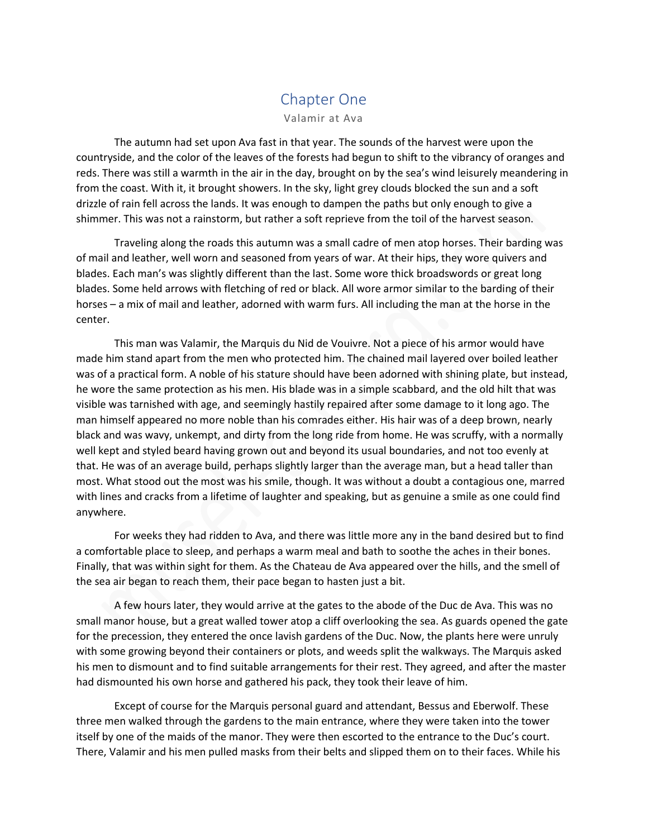## Chapter One

Valamir at Ava

The autumn had set upon Ava fast in that year. The sounds of the harvest were upon the countryside, and the color of the leaves of the forests had begun to shift to the vibrancy of oranges and reds. There was still a warmth in the air in the day, brought on by the sea's wind leisurely meandering in from the coast. With it, it brought showers. In the sky, light grey clouds blocked the sun and a soft drizzle of rain fell across the lands. It was enough to dampen the paths but only enough to give a shimmer. This was not a rainstorm, but rather a soft reprieve from the toil of the harvest season.

Traveling along the roads this autumn was a small cadre of men atop horses. Their barding was of mail and leather, well worn and seasoned from years of war. At their hips, they wore quivers and blades. Each man's was slightly different than the last. Some wore thick broadswords or great long blades. Some held arrows with fletching of red or black. All wore armor similar to the barding of their horses – a mix of mail and leather, adorned with warm furs. All including the man at the horse in the center.

This man was Valamir, the Marquis du Nid de Vouivre. Not a piece of his armor would have made him stand apart from the men who protected him. The chained mail layered over boiled leather was of a practical form. A noble of his stature should have been adorned with shining plate, but instead, he wore the same protection as his men. His blade was in a simple scabbard, and the old hilt that was visible was tarnished with age, and seemingly hastily repaired after some damage to it long ago. The man himself appeared no more noble than his comrades either. His hair was of a deep brown, nearly black and was wavy, unkempt, and dirty from the long ride from home. He was scruffy, with a normally well kept and styled beard having grown out and beyond its usual boundaries, and not too evenly at that. He was of an average build, perhaps slightly larger than the average man, but a head taller than most. What stood out the most was his smile, though. It was without a doubt a contagious one, marred with lines and cracks from a lifetime of laughter and speaking, but as genuine a smile as one could find anywhere.

For weeks they had ridden to Ava, and there was little more any in the band desired but to find a comfortable place to sleep, and perhaps a warm meal and bath to soothe the aches in their bones. Finally, that was within sight for them. As the Chateau de Ava appeared over the hills, and the smell of the sea air began to reach them, their pace began to hasten just a bit.

A few hours later, they would arrive at the gates to the abode of the Duc de Ava. This was no small manor house, but a great walled tower atop a cliff overlooking the sea. As guards opened the gate for the precession, they entered the once lavish gardens of the Duc. Now, the plants here were unruly with some growing beyond their containers or plots, and weeds split the walkways. The Marquis asked his men to dismount and to find suitable arrangements for their rest. They agreed, and after the master had dismounted his own horse and gathered his pack, they took their leave of him.

Except of course for the Marquis personal guard and attendant, Bessus and Eberwolf. These three men walked through the gardens to the main entrance, where they were taken into the tower itself by one of the maids of the manor. They were then escorted to the entrance to the Duc's court. There, Valamir and his men pulled masks from their belts and slipped them on to their faces. While his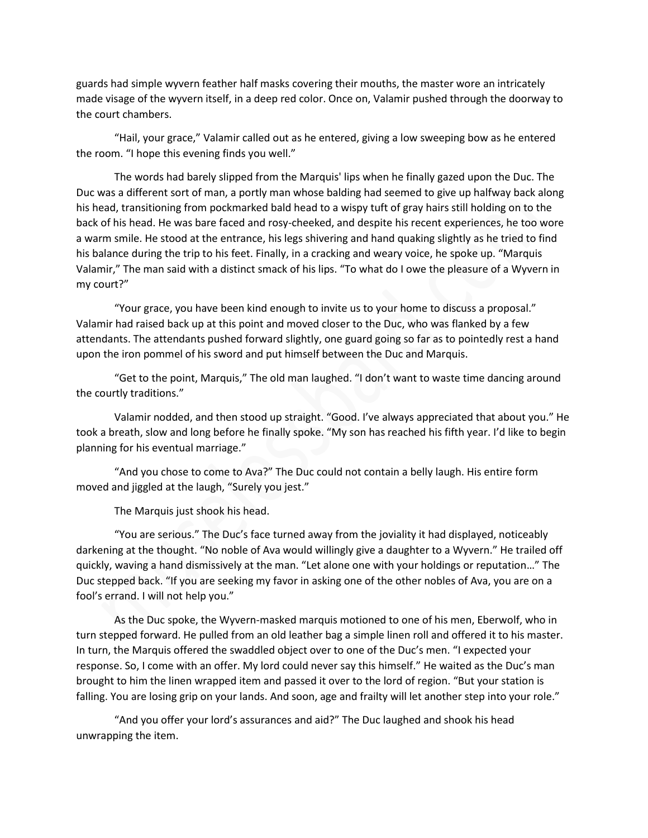guards had simple wyvern feather half masks covering their mouths, the master wore an intricately made visage of the wyvern itself, in a deep red color. Once on, Valamir pushed through the doorway to the court chambers.

"Hail, your grace," Valamir called out as he entered, giving a low sweeping bow as he entered the room. "I hope this evening finds you well."

The words had barely slipped from the Marquis' lips when he finally gazed upon the Duc. The Duc was a different sort of man, a portly man whose balding had seemed to give up halfway back along his head, transitioning from pockmarked bald head to a wispy tuft of gray hairs still holding on to the back of his head. He was bare faced and rosy-cheeked, and despite his recent experiences, he too wore a warm smile. He stood at the entrance, his legs shivering and hand quaking slightly as he tried to find his balance during the trip to his feet. Finally, in a cracking and weary voice, he spoke up. "Marquis Valamir," The man said with a distinct smack of his lips. "To what do I owe the pleasure of a Wyvern in my court?"

"Your grace, you have been kind enough to invite us to your home to discuss a proposal." Valamir had raised back up at this point and moved closer to the Duc, who was flanked by a few attendants. The attendants pushed forward slightly, one guard going so far as to pointedly rest a hand upon the iron pommel of his sword and put himself between the Duc and Marquis.

"Get to the point, Marquis," The old man laughed. "I don't want to waste time dancing around the courtly traditions."

Valamir nodded, and then stood up straight. "Good. I've always appreciated that about you." He took a breath, slow and long before he finally spoke. "My son has reached his fifth year. I'd like to begin planning for his eventual marriage."

"And you chose to come to Ava?" The Duc could not contain a belly laugh. His entire form moved and jiggled at the laugh, "Surely you jest."

The Marquis just shook his head.

"You are serious." The Duc's face turned away from the joviality it had displayed, noticeably darkening at the thought. "No noble of Ava would willingly give a daughter to a Wyvern." He trailed off quickly, waving a hand dismissively at the man. "Let alone one with your holdings or reputation…" The Duc stepped back. "If you are seeking my favor in asking one of the other nobles of Ava, you are on a fool's errand. I will not help you."

As the Duc spoke, the Wyvern-masked marquis motioned to one of his men, Eberwolf, who in turn stepped forward. He pulled from an old leather bag a simple linen roll and offered it to his master. In turn, the Marquis offered the swaddled object over to one of the Duc's men. "I expected your response. So, I come with an offer. My lord could never say this himself." He waited as the Duc's man brought to him the linen wrapped item and passed it over to the lord of region. "But your station is falling. You are losing grip on your lands. And soon, age and frailty will let another step into your role."

"And you offer your lord's assurances and aid?" The Duc laughed and shook his head unwrapping the item.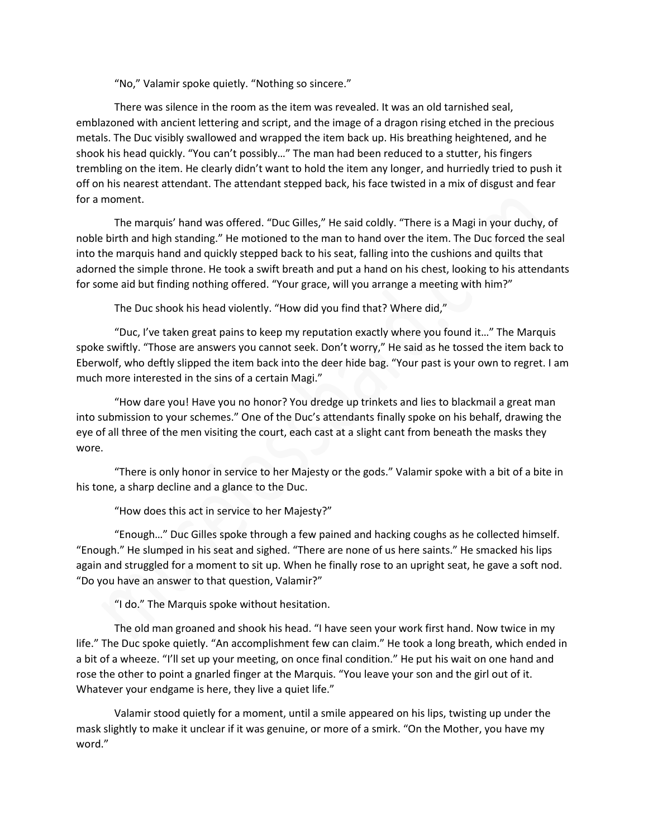"No," Valamir spoke quietly. "Nothing so sincere."

There was silence in the room as the item was revealed. It was an old tarnished seal, emblazoned with ancient lettering and script, and the image of a dragon rising etched in the precious metals. The Duc visibly swallowed and wrapped the item back up. His breathing heightened, and he shook his head quickly. "You can't possibly…" The man had been reduced to a stutter, his fingers trembling on the item. He clearly didn't want to hold the item any longer, and hurriedly tried to push it off on his nearest attendant. The attendant stepped back, his face twisted in a mix of disgust and fear for a moment.

The marquis' hand was offered. "Duc Gilles," He said coldly. "There is a Magi in your duchy, of noble birth and high standing." He motioned to the man to hand over the item. The Duc forced the seal into the marquis hand and quickly stepped back to his seat, falling into the cushions and quilts that adorned the simple throne. He took a swift breath and put a hand on his chest, looking to his attendants for some aid but finding nothing offered. "Your grace, will you arrange a meeting with him?"

The Duc shook his head violently. "How did you find that? Where did,"

"Duc, I've taken great pains to keep my reputation exactly where you found it…" The Marquis spoke swiftly. "Those are answers you cannot seek. Don't worry," He said as he tossed the item back to Eberwolf, who deftly slipped the item back into the deer hide bag. "Your past is your own to regret. I am much more interested in the sins of a certain Magi."

"How dare you! Have you no honor? You dredge up trinkets and lies to blackmail a great man into submission to your schemes." One of the Duc's attendants finally spoke on his behalf, drawing the eye of all three of the men visiting the court, each cast at a slight cant from beneath the masks they wore.

"There is only honor in service to her Majesty or the gods." Valamir spoke with a bit of a bite in his tone, a sharp decline and a glance to the Duc.

"How does this act in service to her Majesty?"

"Enough…" Duc Gilles spoke through a few pained and hacking coughs as he collected himself. "Enough." He slumped in his seat and sighed. "There are none of us here saints." He smacked his lips again and struggled for a moment to sit up. When he finally rose to an upright seat, he gave a soft nod. "Do you have an answer to that question, Valamir?"

"I do." The Marquis spoke without hesitation.

The old man groaned and shook his head. "I have seen your work first hand. Now twice in my life." The Duc spoke quietly. "An accomplishment few can claim." He took a long breath, which ended in a bit of a wheeze. "I'll set up your meeting, on once final condition." He put his wait on one hand and rose the other to point a gnarled finger at the Marquis. "You leave your son and the girl out of it. Whatever your endgame is here, they live a quiet life."

Valamir stood quietly for a moment, until a smile appeared on his lips, twisting up under the mask slightly to make it unclear if it was genuine, or more of a smirk. "On the Mother, you have my word."